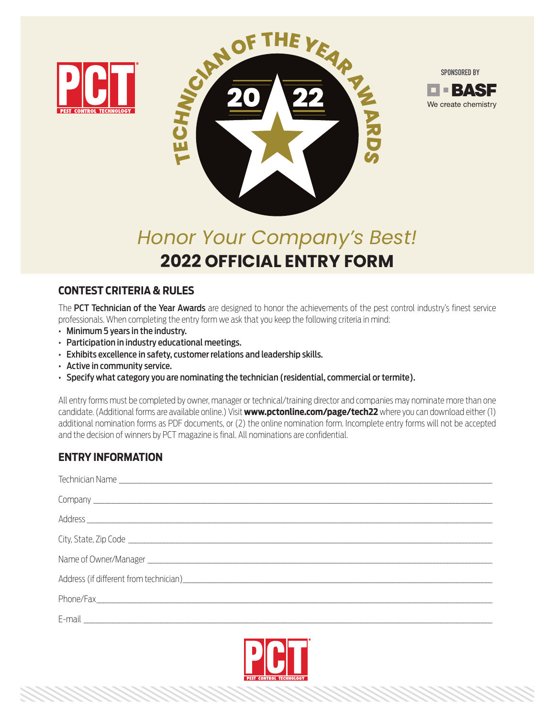





# *Honor Your Company's Best!* **2022 OFFICIAL ENTRY FORM**

# **CONTEST CRITERIA & RULES**

**CONTEST CRITERIA & RULES** The PCT Technician of the Year Awards are designed to honor the achievements of the pest control industry's finest service professionals. When completing the entry form we ask that you keep the following criteria in mind:

- Minimum 5 years in the industry.
- Participation in industry educational meetings.
- Exhibits excellence in safety, customer relations and leadership skills.
- Active in community service.
- Specify what category you are nominating the technician (residential, commercial or termite).

All entry forms must be completed by owner, manager or technical/training director and companies may nominate more than one candidate. (Additional forms are available online.) Visit **www.pctonline.com/page/tech22** where you can download either (1) additional nomination forms as PDF documents, or (2) the online nomination form. Incomplete entry forms will not be accepted and the decision of winners by PCT magazine is final. All nominations are confidential.

## **ENTRY INFORMATION**